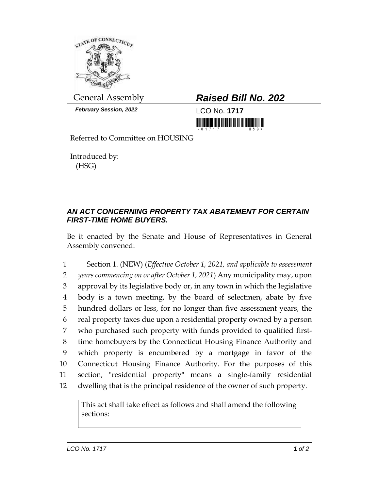

*February Session, 2022* LCO No. **1717**

General Assembly *Raised Bill No. 202*

<u> III maarta saaraa marka saaraa marka saaraa marka saaraa marka saaraa marka saaraa marka saaraa marka saaraa </u>

Referred to Committee on HOUSING

Introduced by: (HSG)

## *AN ACT CONCERNING PROPERTY TAX ABATEMENT FOR CERTAIN FIRST-TIME HOME BUYERS.*

Be it enacted by the Senate and House of Representatives in General Assembly convened:

 Section 1. (NEW) (*Effective October 1, 2021, and applicable to assessment years commencing on or after October 1, 2021*) Any municipality may, upon approval by its legislative body or, in any town in which the legislative body is a town meeting, by the board of selectmen, abate by five hundred dollars or less, for no longer than five assessment years, the real property taxes due upon a residential property owned by a person who purchased such property with funds provided to qualified first- time homebuyers by the Connecticut Housing Finance Authority and which property is encumbered by a mortgage in favor of the Connecticut Housing Finance Authority. For the purposes of this section, "residential property" means a single-family residential dwelling that is the principal residence of the owner of such property.

This act shall take effect as follows and shall amend the following sections: